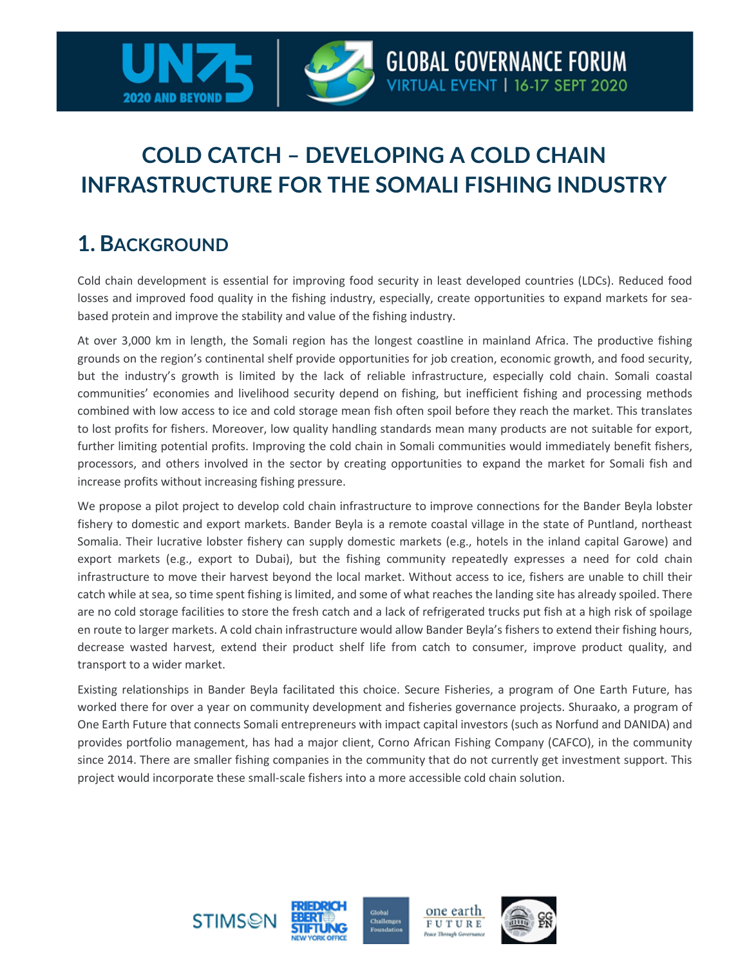

## **COLD CATCH – DEVELOPING A COLD CHAIN INFRASTRUCTURE FOR THE SOMALI FISHING INDUSTRY**

## **1. BACKGROUND**

Cold chain development is essential for improving food security in least developed countries (LDCs). Reduced food losses and improved food quality in the fishing industry, especially, create opportunities to expand markets for seabased protein and improve the stability and value of the fishing industry.

At over 3,000 km in length, the Somali region has the longest coastline in mainland Africa. The productive fishing grounds on the region's continental shelf provide opportunities for job creation, economic growth, and food security, but the industry's growth is limited by the lack of reliable infrastructure, especially cold chain. Somali coastal communities' economies and livelihood security depend on fishing, but inefficient fishing and processing methods combined with low access to ice and cold storage mean fish often spoil before they reach the market. This translates to lost profits for fishers. Moreover, low quality handling standards mean many products are not suitable for export, further limiting potential profits. Improving the cold chain in Somali communities would immediately benefit fishers, processors, and others involved in the sector by creating opportunities to expand the market for Somali fish and increase profits without increasing fishing pressure.

We propose a pilot project to develop cold chain infrastructure to improve connections for the Bander Beyla lobster fishery to domestic and export markets. Bander Beyla is a remote coastal village in the state of Puntland, northeast Somalia. Their lucrative lobster fishery can supply domestic markets (e.g., hotels in the inland capital Garowe) and export markets (e.g., export to Dubai), but the fishing community repeatedly expresses a need for cold chain infrastructure to move their harvest beyond the local market. Without access to ice, fishers are unable to chill their catch while at sea, so time spent fishing is limited, and some of what reaches the landing site has already spoiled. There are no cold storage facilities to store the fresh catch and a lack of refrigerated trucks put fish at a high risk of spoilage en route to larger markets. A cold chain infrastructure would allow Bander Beyla's fishers to extend their fishing hours, decrease wasted harvest, extend their product shelf life from catch to consumer, improve product quality, and transport to a wider market.

Existing relationships in Bander Beyla facilitated this choice. Secure Fisheries, a program of One Earth Future, has worked there for over a year on community development and fisheries governance projects. Shuraako, a program of One Earth Future that connects Somali entrepreneurs with impact capital investors (such as Norfund and DANIDA) and provides portfolio management, has had a major client, Corno African Fishing Company (CAFCO), in the community since 2014. There are smaller fishing companies in the community that do not currently get investment support. This project would incorporate these small-scale fishers into a more accessible cold chain solution.